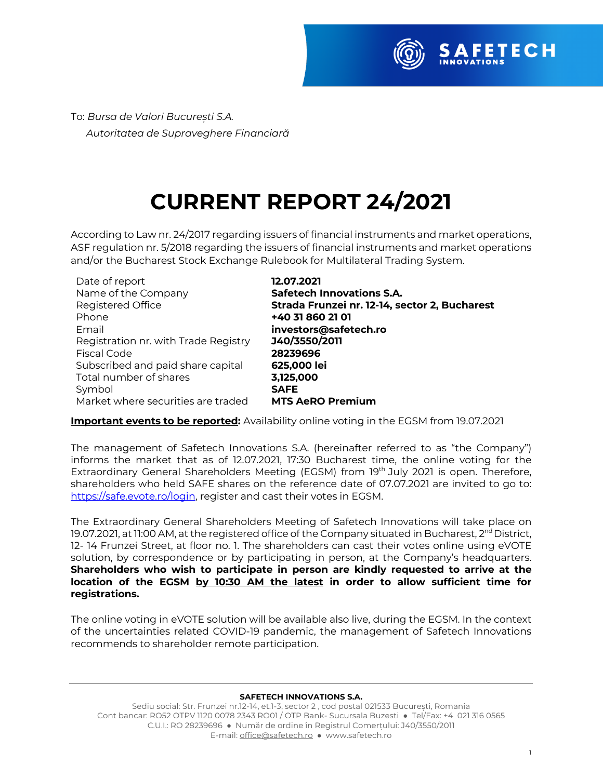

To: *Bursa de Valori București S.A. Autoritatea de Supraveghere Financiară*

## **CURRENT REPORT 24/2021**

According to Law nr. 24/2017 regarding issuers of financial instruments and market operations, ASF regulation nr. 5/2018 regarding the issuers of financial instruments and market operations and/or the Bucharest Stock Exchange Rulebook for Multilateral Trading System.

| Date of report                       | 12.07.2021                                    |
|--------------------------------------|-----------------------------------------------|
| Name of the Company                  | <b>Safetech Innovations S.A.</b>              |
| <b>Registered Office</b>             | Strada Frunzei nr. 12-14, sector 2, Bucharest |
| Phone                                | +40 31 860 21 01                              |
| Email                                | investors@safetech.ro                         |
| Registration nr. with Trade Registry | J40/3550/2011                                 |
| Fiscal Code                          | 28239696                                      |
| Subscribed and paid share capital    | 625,000 lei                                   |
| Total number of shares               | 3,125,000                                     |
| Symbol                               | <b>SAFE</b>                                   |
| Market where securities are traded   | <b>MTS AeRO Premium</b>                       |

**Important events to be reported:** Availability online voting in the EGSM from 19.07.2021

The management of Safetech Innovations S.A. (hereinafter referred to as "the Company") informs the market that as of 12.07.2021, 17:30 Bucharest time, the online voting for the Extraordinary General Shareholders Meeting (EGSM) from 19th July 2021 is open. Therefore, shareholders who held SAFE shares on the reference date of 07.07.2021 are invited to go to: https://safe.evote.ro/login, register and cast their votes in EGSM.

The Extraordinary General Shareholders Meeting of Safetech Innovations will take place on 19.07.2021, at 11:00 AM, at the registered office of the Company situated in Bucharest,  $2^{nd}$  District, 12- 14 Frunzei Street, at floor no. 1. The shareholders can cast their votes online using eVOTE solution, by correspondence or by participating in person, at the Company's headquarters. **Shareholders who wish to participate in person are kindly requested to arrive at the location of the EGSM by 10:30 AM the latest in order to allow sufficient time for registrations.** 

The online voting in eVOTE solution will be available also live, during the EGSM. In the context of the uncertainties related COVID-19 pandemic, the management of Safetech Innovations recommends to shareholder remote participation.

## **SAFETECH INNOVATIONS S.A.**

Sediu social: Str. Frunzei nr.12-14, et.1-3, sector 2 , cod postal 021533 București, Romania Cont bancar: RO52 OTPV 1120 0078 2343 RO01 / OTP Bank- Sucursala Buzesti ● Tel/Fax: +4 021 316 0565 C.U.I.: RO 28239696 ● Număr de ordine în Registrul Comerțului: J40/3550/2011 E-mail: office@safetech.ro ● www.safetech.ro